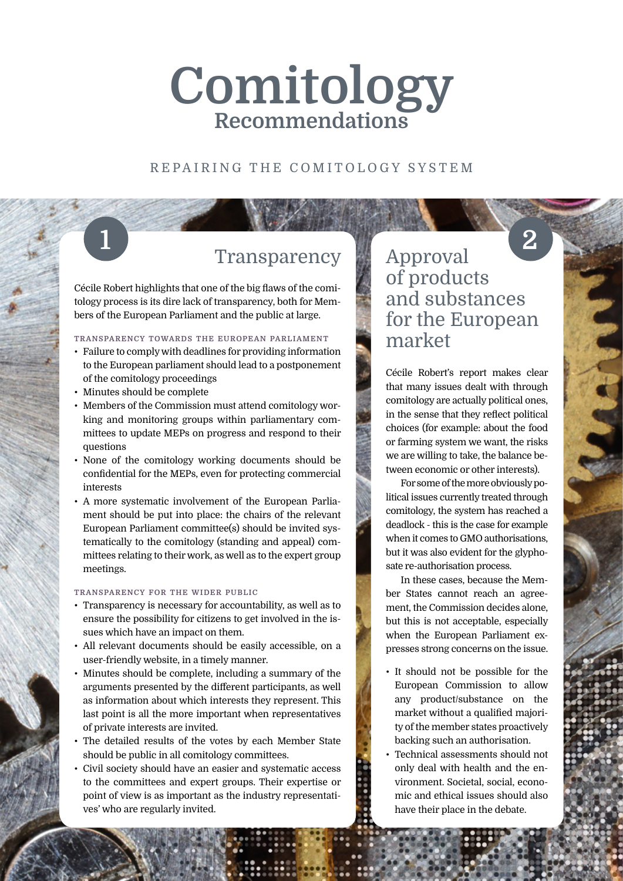# **Comitology Recommendations**

## REPAIRING THE COMITOLOGY SYSTEM

## 1 Transparency Approval

Cécile Robert highlights that one of the big flaws of the comitology process is its dire lack of transparency, both for Members of the European Parliament and the public at large.

## **transparency towards the european parliament**

- Failure to comply with deadlines for providing information to the European parliament should lead to a postponement of the comitology proceedings
- Minutes should be complete
- Members of the Commission must attend comitology working and monitoring groups within parliamentary committees to update MEPs on progress and respond to their questions
- None of the comitology working documents should be confidential for the MEPs, even for protecting commercial interests
- A more systematic involvement of the European Parliament should be put into place: the chairs of the relevant European Parliament committee(s) should be invited systematically to the comitology (standing and appeal) committees relating to their work, as well as to the expert group meetings.

### **transparency for the wider public**

- Transparency is necessary for accountability, as well as to ensure the possibility for citizens to get involved in the issues which have an impact on them.
- All relevant documents should be easily accessible, on a user-friendly website, in a timely manner.
- Minutes should be complete, including a summary of the arguments presented by the different participants, as well as information about which interests they represent. This last point is all the more important when representatives of private interests are invited.
- The detailed results of the votes by each Member State should be public in all comitology committees.
- Civil society should have an easier and systematic access to the committees and expert groups. Their expertise or point of view is as important as the industry representatives' who are regularly invited.

## of products and substances for the European market **2**

Cécile Robert's report makes clear that many issues dealt with through comitology are actually political ones, in the sense that they reflect political choices (for example: about the food or farming system we want, the risks we are willing to take, the balance between economic or other interests).

For some of the more obviously political issues currently treated through comitology, the system has reached a deadlock - this is the case for example when it comes to GMO authorisations, but it was also evident for the glyphosate re-authorisation process.

In these cases, because the Member States cannot reach an agreement, the Commission decides alone, but this is not acceptable, especially when the European Parliament expresses strong concerns on the issue.

- It should not be possible for the European Commission to allow any product/substance on the market without a qualified majority of the member states proactively backing such an authorisation.
- Technical assessments should not only deal with health and the environment. Societal, social, economic and ethical issues should also have their place in the debate.